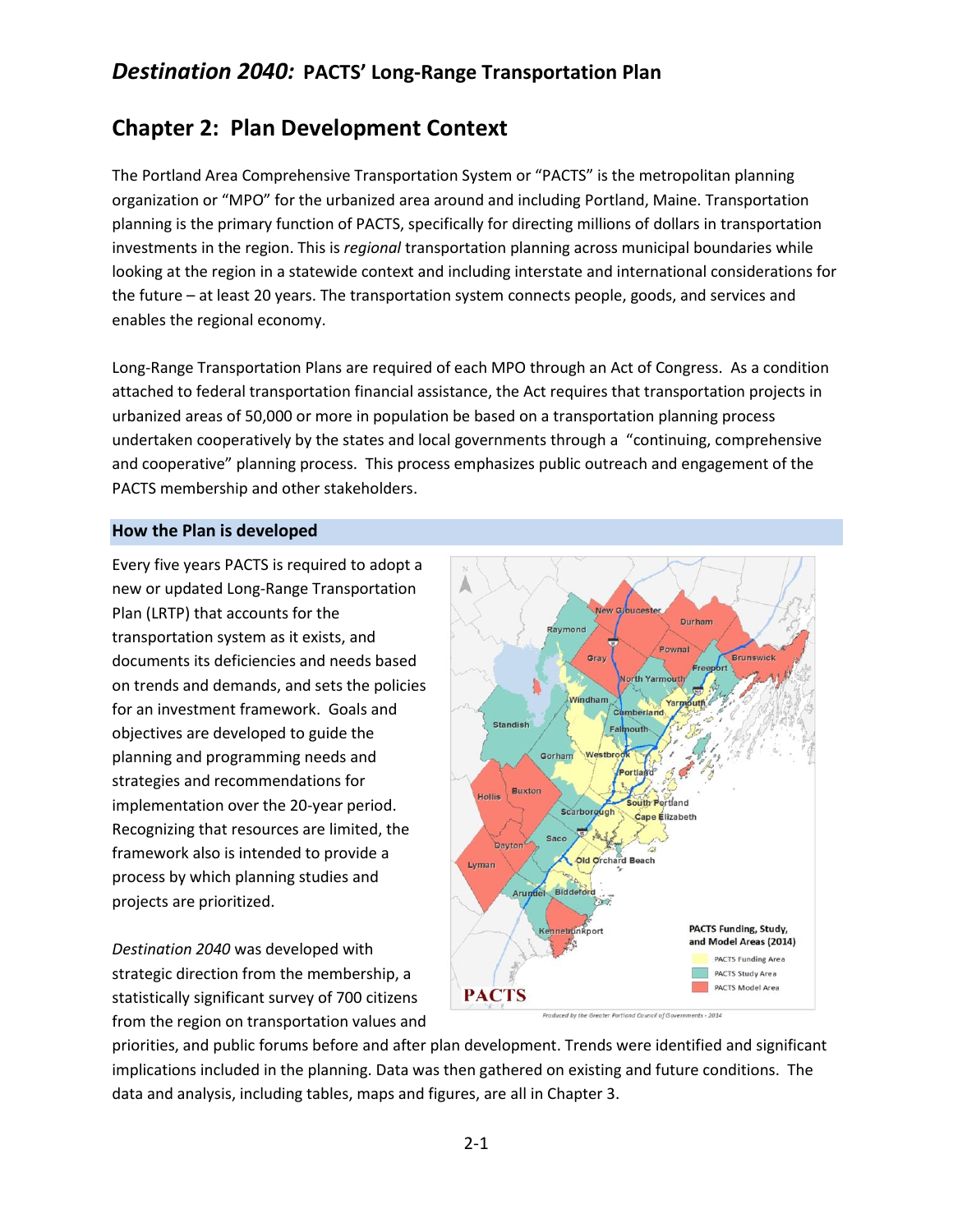# **Chapter 2: Plan Development Context**

The Portland Area Comprehensive Transportation System or "PACTS" is the metropolitan planning organization or "MPO" for the urbanized area around and including Portland, Maine. Transportation planning is the primary function of PACTS, specifically for directing millions of dollars in transportation investments in the region. This is *regional* transportation planning across municipal boundaries while looking at the region in a statewide context and including interstate and international considerations for the future – at least 20 years. The transportation system connects people, goods, and services and enables the regional economy.

Long-Range Transportation Plans are required of each MPO through an Act of Congress. As a condition attached to federal transportation financial assistance, the Act requires that transportation projects in urbanized areas of 50,000 or more in population be based on a transportation planning process undertaken cooperatively by the states and local governments through a "continuing, comprehensive and cooperative" planning process. This process emphasizes public outreach and engagement of the PACTS membership and other stakeholders.

## **How the Plan is developed**

Every five years PACTS is required to adopt a new or updated Long-Range Transportation Plan (LRTP) that accounts for the transportation system as it exists, and documents its deficiencies and needs based on trends and demands, and sets the policies for an investment framework. Goals and objectives are developed to guide the planning and programming needs and strategies and recommendations for implementation over the 20-year period. Recognizing that resources are limited, the framework also is intended to provide a process by which planning studies and projects are prioritized.

*Destination 2040* was developed with strategic direction from the membership, a statistically significant survey of 700 citizens from the region on transportation values and



priorities, and public forums before and after plan development. Trends were identified and significant implications included in the planning. Data was then gathered on existing and future conditions. The data and analysis, including tables, maps and figures, are all in Chapter 3.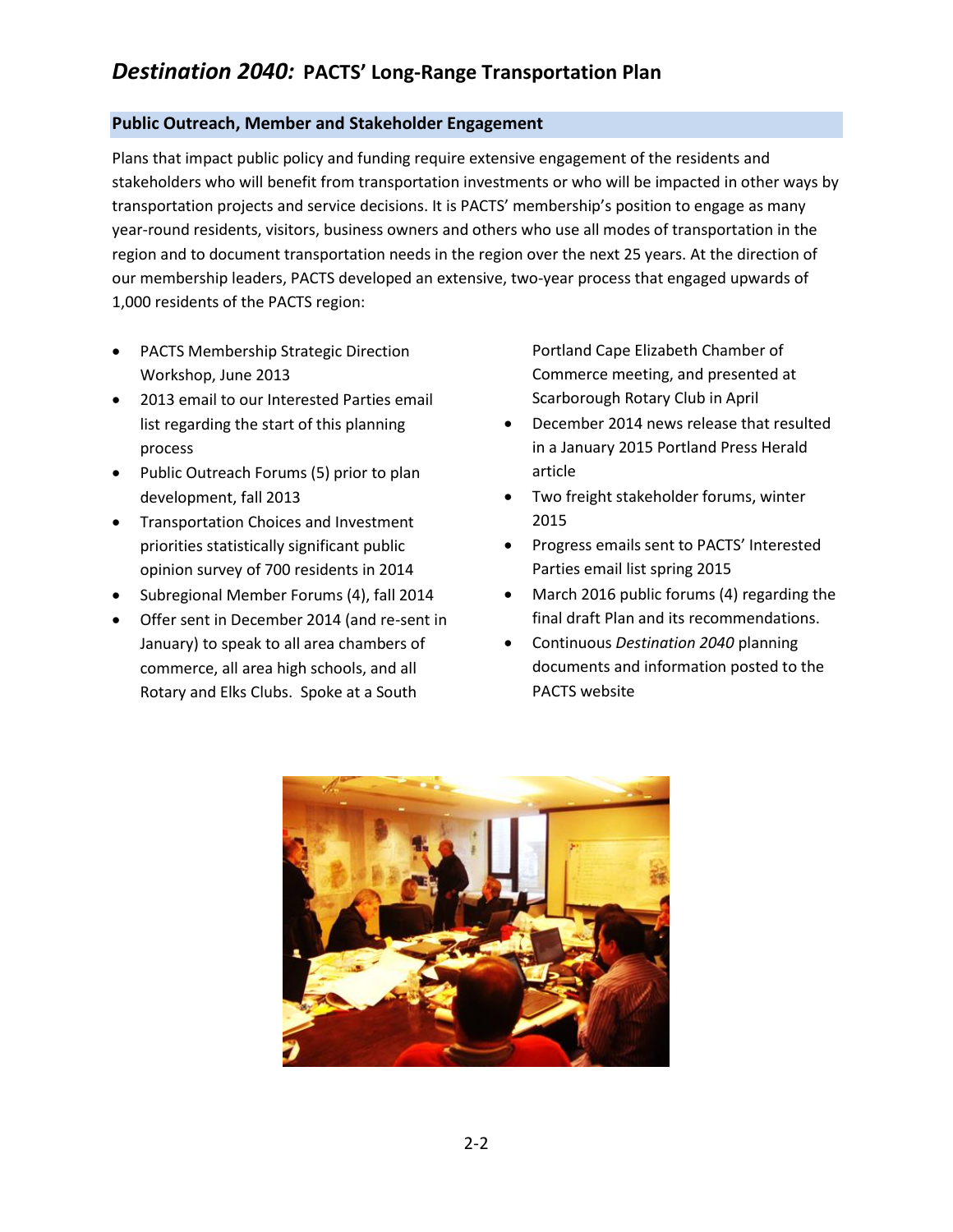## **Public Outreach, Member and Stakeholder Engagement**

Plans that impact public policy and funding require extensive engagement of the residents and stakeholders who will benefit from transportation investments or who will be impacted in other ways by transportation projects and service decisions. It is PACTS' membership's position to engage as many year-round residents, visitors, business owners and others who use all modes of transportation in the region and to document transportation needs in the region over the next 25 years. At the direction of our membership leaders, PACTS developed an extensive, two-year process that engaged upwards of 1,000 residents of the PACTS region:

- PACTS Membership Strategic Direction Workshop, June 2013
- 2013 email to our Interested Parties email list regarding the start of this planning process
- Public Outreach Forums (5) prior to plan development, fall 2013
- **•** Transportation Choices and Investment priorities statistically significant public opinion survey of 700 residents in 2014
- Subregional Member Forums (4), fall 2014
- Offer sent in December 2014 (and re-sent in January) to speak to all area chambers of commerce, all area high schools, and all Rotary and Elks Clubs. Spoke at a South

Portland Cape Elizabeth Chamber of Commerce meeting, and presented at Scarborough Rotary Club in April

- December 2014 news release that resulted in a January 2015 Portland Press Herald article
- Two freight stakeholder forums, winter 2015
- Progress emails sent to PACTS' Interested Parties email list spring 2015
- March 2016 public forums (4) regarding the final draft Plan and its recommendations.
- Continuous *Destination 2040* planning documents and information posted to the PACTS website

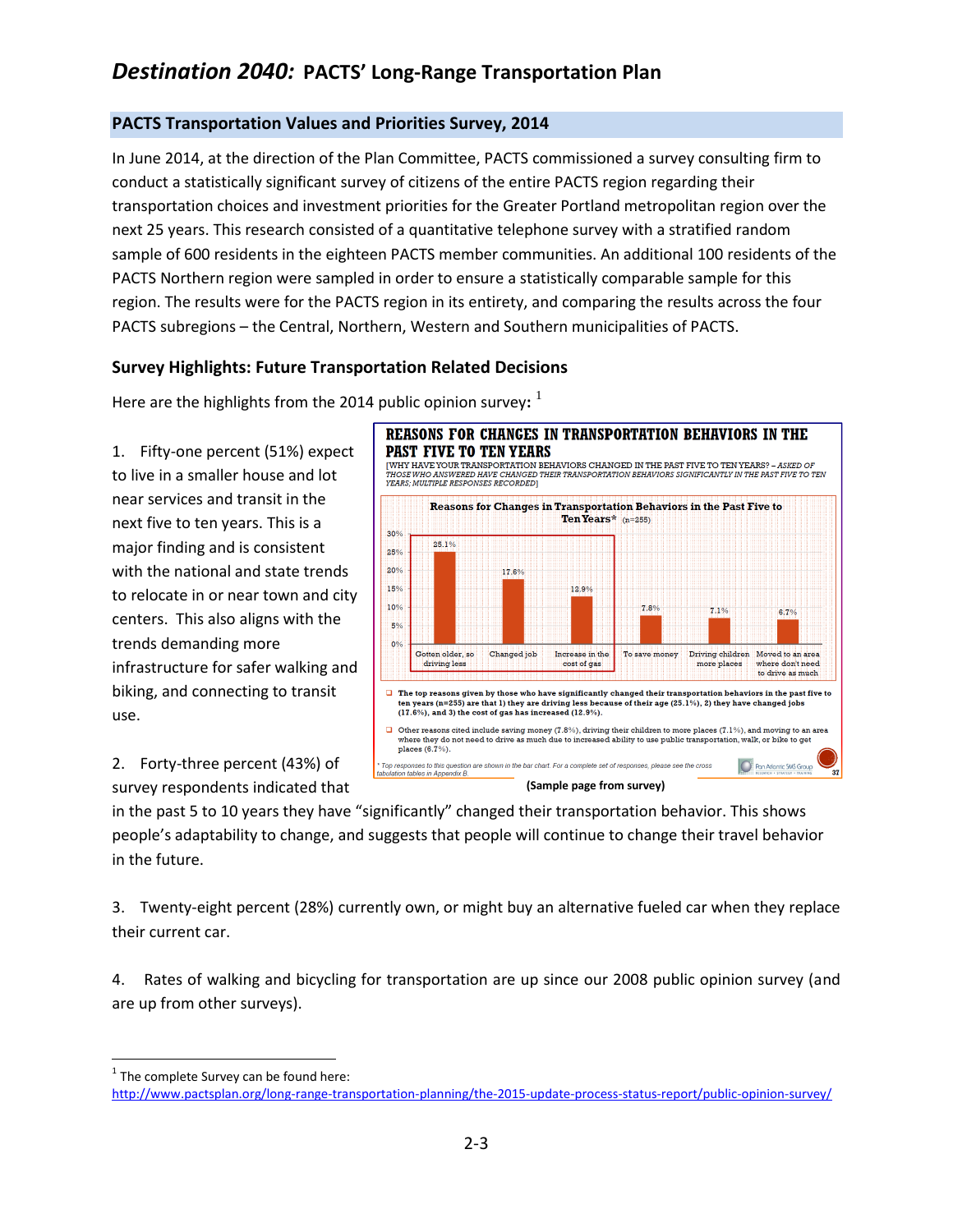# **PACTS Transportation Values and Priorities Survey, 2014**

In June 2014, at the direction of the Plan Committee, PACTS commissioned a survey consulting firm to conduct a statistically significant survey of citizens of the entire PACTS region regarding their transportation choices and investment priorities for the Greater Portland metropolitan region over the next 25 years. This research consisted of a quantitative telephone survey with a stratified random sample of 600 residents in the eighteen PACTS member communities. An additional 100 residents of the PACTS Northern region were sampled in order to ensure a statistically comparable sample for this region. The results were for the PACTS region in its entirety, and comparing the results across the four PACTS subregions – the Central, Northern, Western and Southern municipalities of PACTS.

# **Survey Highlights: Future Transportation Related Decisions**

Here are the highlights from the 2014 public opinion survey**:** 1

1. Fifty-one percent (51%) expect to live in a smaller house and lot near services and transit in the next five to ten years. This is a major finding and is consistent with the national and state trends to relocate in or near town and city centers. This also aligns with the trends demanding more infrastructure for safer walking and biking, and connecting to transit use.

2. Forty-three percent (43%) of survey respondents indicated that



in the past 5 to 10 years they have "significantly" changed their transportation behavior. This shows people's adaptability to change, and suggests that people will continue to change their travel behavior in the future.

3. Twenty-eight percent (28%) currently own, or might buy an alternative fueled car when they replace their current car.

4. Rates of walking and bicycling for transportation are up since our 2008 public opinion survey (and are up from other surveys).

 $\overline{a}$ 

 $<sup>1</sup>$  The complete Survey can be found here:</sup>

<http://www.pactsplan.org/long-range-transportation-planning/the-2015-update-process-status-report/public-opinion-survey/>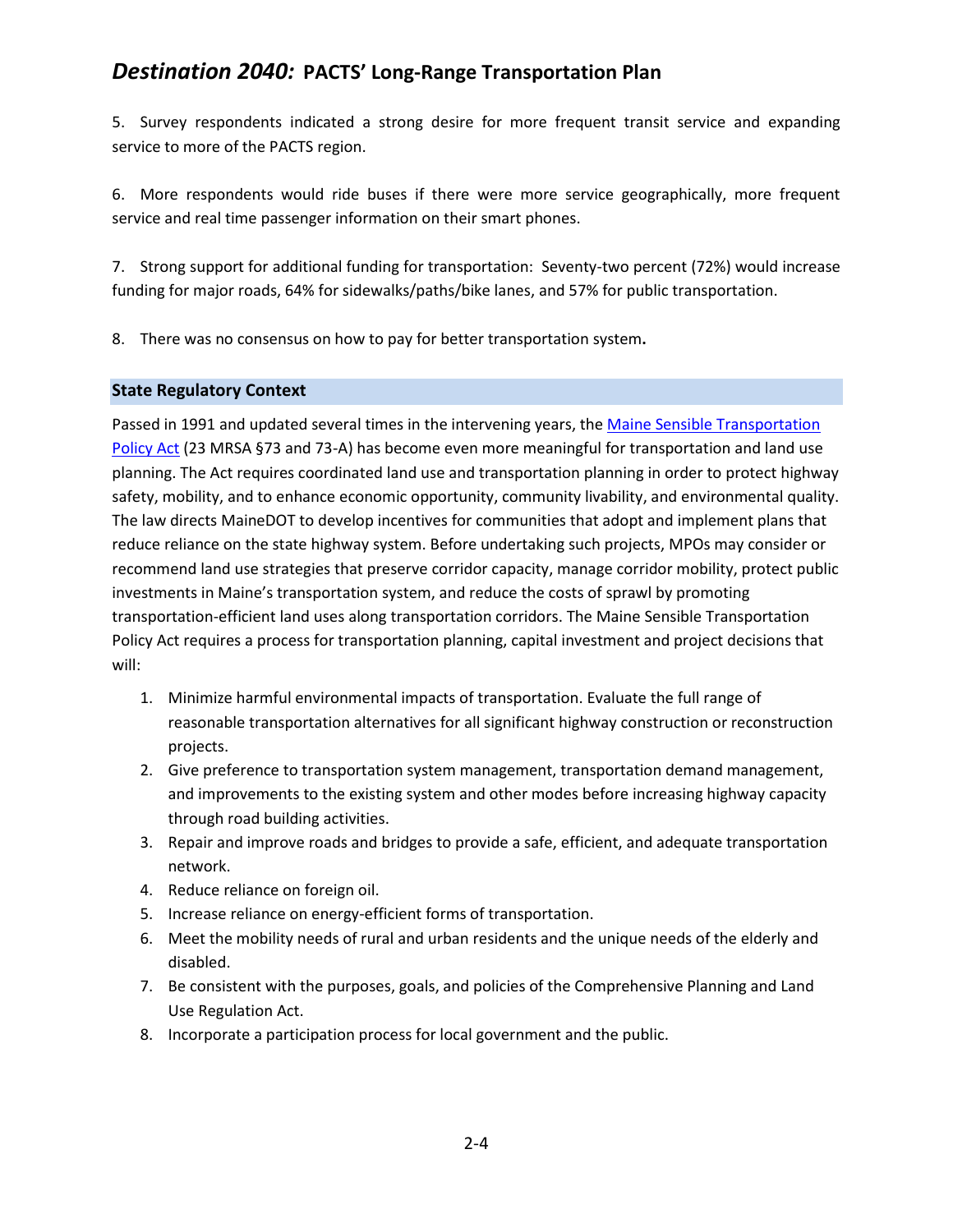5. Survey respondents indicated a strong desire for more frequent transit service and expanding service to more of the PACTS region.

6. More respondents would ride buses if there were more service geographically, more frequent service and real time passenger information on their smart phones.

7. Strong support for additional funding for transportation: Seventy-two percent (72%) would increase funding for major roads, 64% for sidewalks/paths/bike lanes, and 57% for public transportation.

8. There was no consensus on how to pay for better transportation system**.**

## **State Regulatory Context**

Passed in 1991 and updated several times in the intervening years, the Maine Sensible Transportation [Policy Act](http://www.mainelegislature.org/legis/statutes/23/title23sec73.html) (23 MRSA §73 and 73-A) has become even more meaningful for transportation and land use planning. The Act requires coordinated land use and transportation planning in order to protect highway safety, mobility, and to enhance economic opportunity, community livability, and environmental quality. The law directs MaineDOT to develop incentives for communities that adopt and implement plans that reduce reliance on the state highway system. Before undertaking such projects, MPOs may consider or recommend land use strategies that preserve corridor capacity, manage corridor mobility, protect public investments in Maine's transportation system, and reduce the costs of sprawl by promoting transportation-efficient land uses along transportation corridors. The Maine Sensible Transportation Policy Act requires a process for transportation planning, capital investment and project decisions that will:

- 1. Minimize harmful environmental impacts of transportation. Evaluate the full range of reasonable transportation alternatives for all significant highway construction or reconstruction projects.
- 2. Give preference to transportation system management, transportation demand management, and improvements to the existing system and other modes before increasing highway capacity through road building activities.
- 3. Repair and improve roads and bridges to provide a safe, efficient, and adequate transportation network.
- 4. Reduce reliance on foreign oil.
- 5. Increase reliance on energy-efficient forms of transportation.
- 6. Meet the mobility needs of rural and urban residents and the unique needs of the elderly and disabled.
- 7. Be consistent with the purposes, goals, and policies of the Comprehensive Planning and Land Use Regulation Act.
- 8. Incorporate a participation process for local government and the public.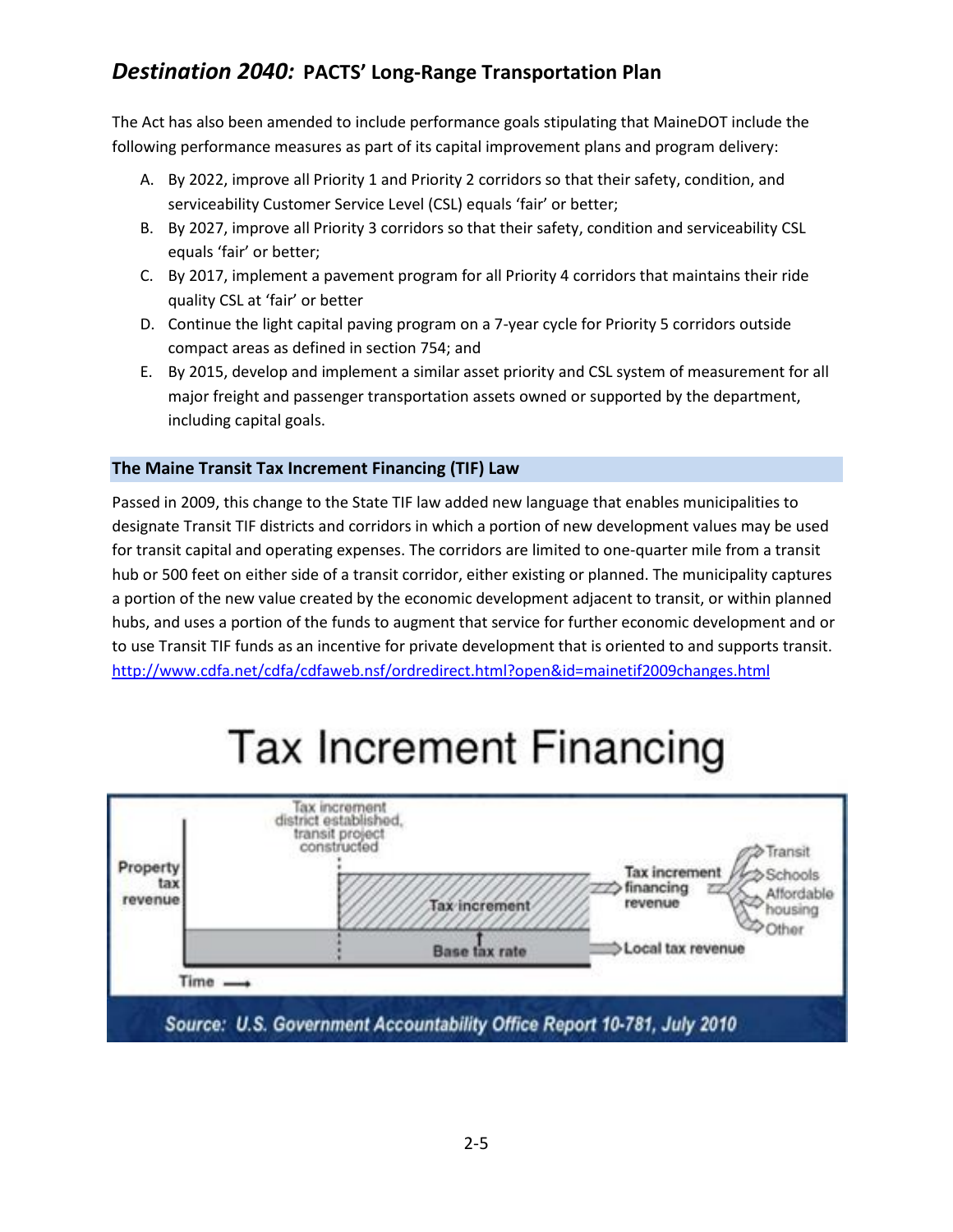The Act has also been amended to include performance goals stipulating that MaineDOT include the following performance measures as part of its capital improvement plans and program delivery:

- A. By 2022, improve all Priority 1 and Priority 2 corridors so that their safety, condition, and serviceability Customer Service Level (CSL) equals 'fair' or better;
- B. By 2027, improve all Priority 3 corridors so that their safety, condition and serviceability CSL equals 'fair' or better;
- C. By 2017, implement a pavement program for all Priority 4 corridors that maintains their ride quality CSL at 'fair' or better
- D. Continue the light capital paving program on a 7-year cycle for Priority 5 corridors outside compact areas as defined in section 754; and
- E. By 2015, develop and implement a similar asset priority and CSL system of measurement for all major freight and passenger transportation assets owned or supported by the department, including capital goals.

# **The Maine Transit Tax Increment Financing (TIF) Law**

Passed in 2009, this change to the State TIF law added new language that enables municipalities to designate Transit TIF districts and corridors in which a portion of new development values may be used for transit capital and operating expenses. The corridors are limited to one-quarter mile from a transit hub or 500 feet on either side of a transit corridor, either existing or planned. The municipality captures a portion of the new value created by the economic development adjacent to transit, or within planned hubs, and uses a portion of the funds to augment that service for further economic development and or to use Transit TIF funds as an incentive for private development that is oriented to and supports transit. <http://www.cdfa.net/cdfa/cdfaweb.nsf/ordredirect.html?open&id=mainetif2009changes.html>

# **Tax Increment Financing**

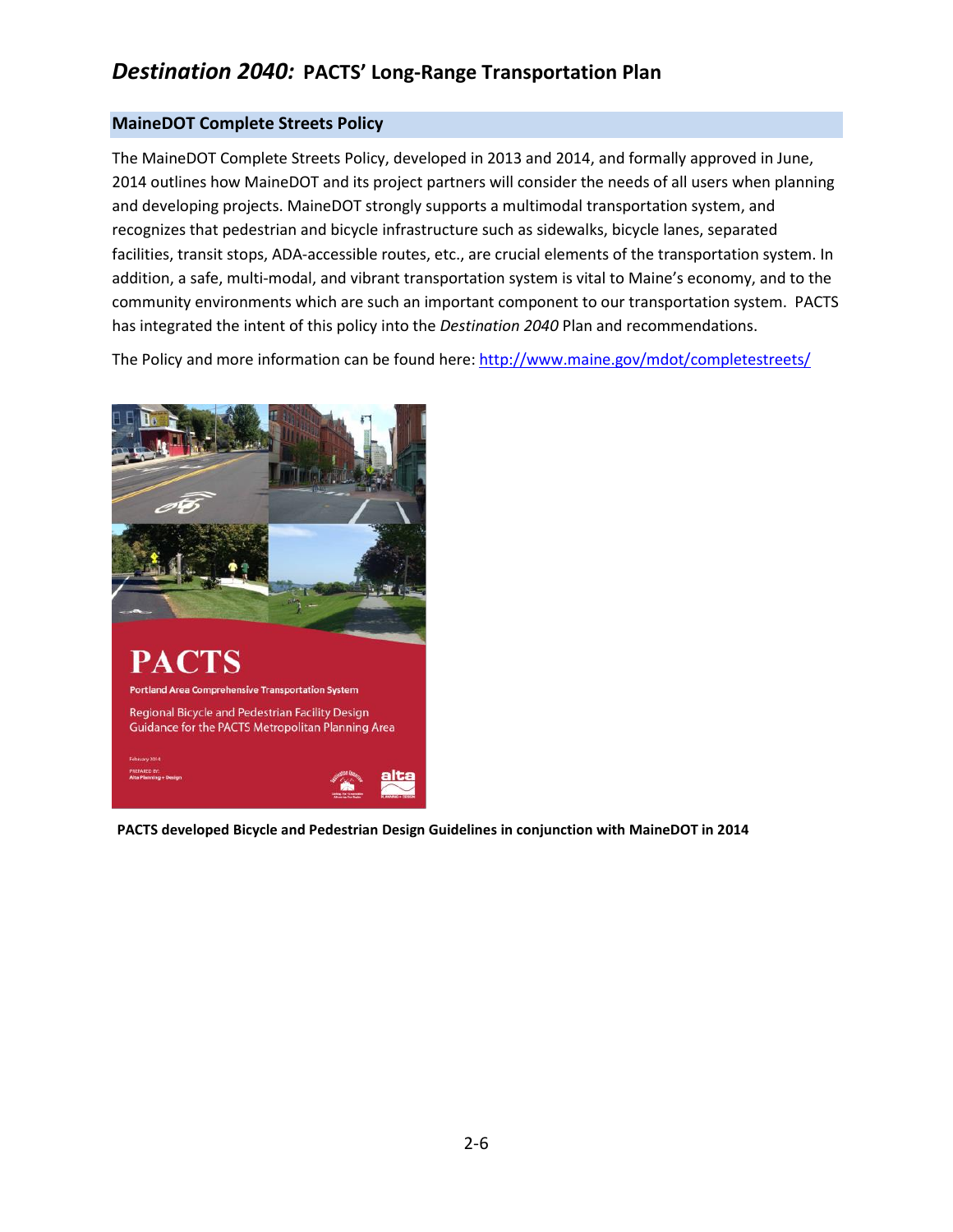## **MaineDOT Complete Streets Policy**

The MaineDOT Complete Streets Policy, developed in 2013 and 2014, and formally approved in June, 2014 outlines how MaineDOT and its project partners will consider the needs of all users when planning and developing projects. MaineDOT strongly supports a multimodal transportation system, and recognizes that pedestrian and bicycle infrastructure such as sidewalks, bicycle lanes, separated facilities, transit stops, ADA-accessible routes, etc., are crucial elements of the transportation system. In addition, a safe, multi-modal, and vibrant transportation system is vital to Maine's economy, and to the community environments which are such an important component to our transportation system. PACTS has integrated the intent of this policy into the *Destination 2040* Plan and recommendations.

The Policy and more information can be found here: <http://www.maine.gov/mdot/completestreets/>



**PACTS developed Bicycle and Pedestrian Design Guidelines in conjunction with MaineDOT in 2014**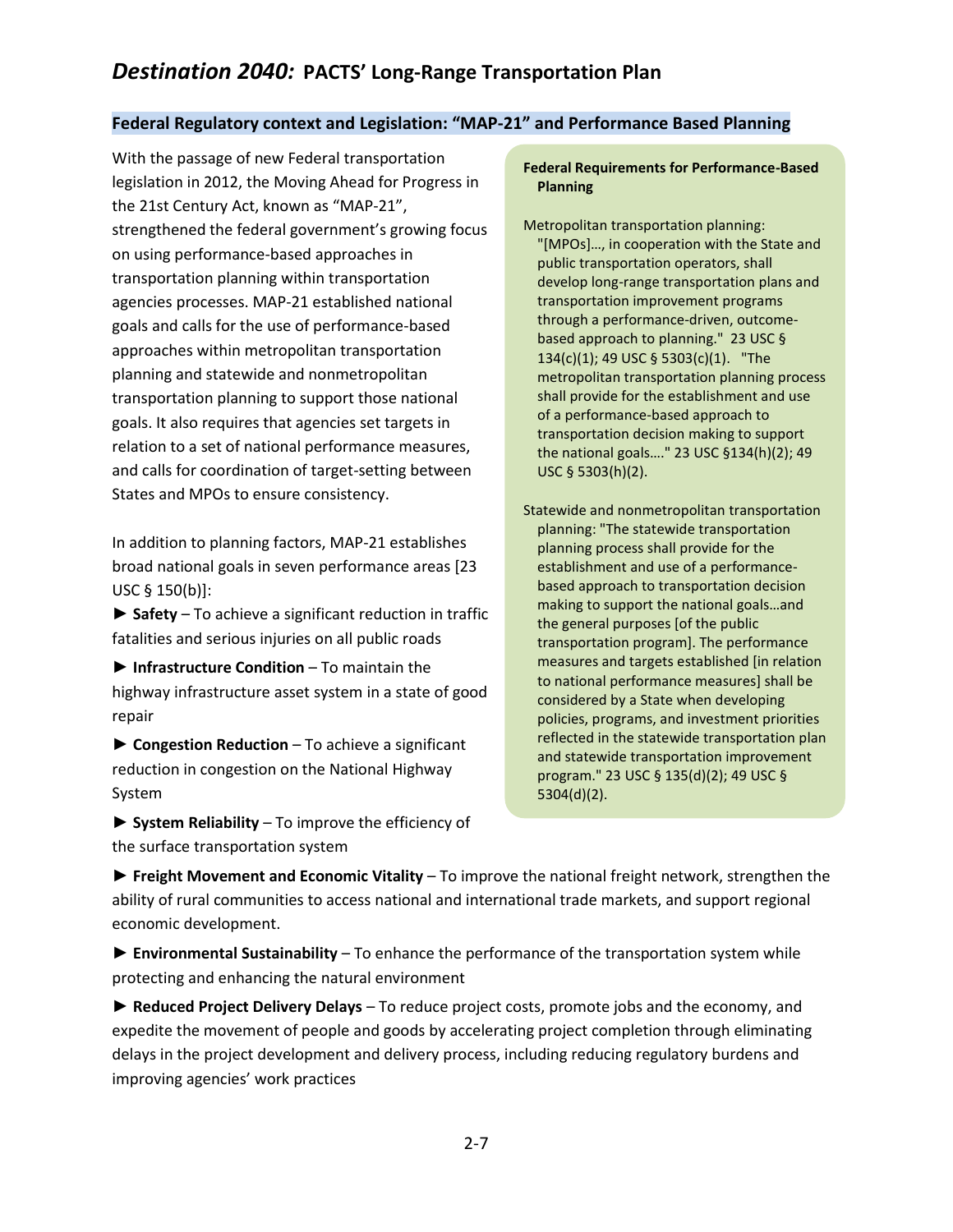## **Federal Regulatory context and Legislation: "MAP-21" and Performance Based Planning**

With the passage of new Federal transportation legislation in 2012, the Moving Ahead for Progress in the 21st Century Act, known as "MAP-21", strengthened the federal government's growing focus on using performance-based approaches in transportation planning within transportation agencies processes. MAP-21 established national goals and calls for the use of performance-based approaches within metropolitan transportation planning and statewide and nonmetropolitan transportation planning to support those national goals. It also requires that agencies set targets in relation to a set of national performance measures, and calls for coordination of target-setting between States and MPOs to ensure consistency.

In addition to planning factors, MAP-21 establishes broad national goals in seven performance areas [23 USC § 150(b)]:

**► Safety** – To achieve a significant reduction in traffic fatalities and serious injuries on all public roads

▶ Infrastructure Condition – To maintain the highway infrastructure asset system in a state of good repair

**► Congestion Reduction** – To achieve a significant reduction in congestion on the National Highway System

**► System Reliability** – To improve the efficiency of the surface transportation system

#### **Federal Requirements for Performance-Based Planning**

Metropolitan transportation planning: "[MPOs]…, in cooperation with the State and public transportation operators, shall develop long-range transportation plans and transportation improvement programs through a performance-driven, outcomebased approach to planning." 23 USC § 134(c)(1); 49 USC § 5303(c)(1). "The metropolitan transportation planning process shall provide for the establishment and use of a performance-based approach to transportation decision making to support the national goals…." 23 USC §134(h)(2); 49 USC § 5303(h)(2).

Statewide and nonmetropolitan transportation planning: "The statewide transportation planning process shall provide for the establishment and use of a performancebased approach to transportation decision making to support the national goals…and the general purposes [of the public transportation program]. The performance measures and targets established [in relation to national performance measures] shall be considered by a State when developing policies, programs, and investment priorities reflected in the statewide transportation plan and statewide transportation improvement program." 23 USC § 135(d)(2); 49 USC § 5304(d)(2).

**► Freight Movement and Economic Vitality** – To improve the national freight network, strengthen the ability of rural communities to access national and international trade markets, and support regional economic development.

**► Environmental Sustainability** – To enhance the performance of the transportation system while protecting and enhancing the natural environment

**► Reduced Project Delivery Delays** – To reduce project costs, promote jobs and the economy, and expedite the movement of people and goods by accelerating project completion through eliminating delays in the project development and delivery process, including reducing regulatory burdens and improving agencies' work practices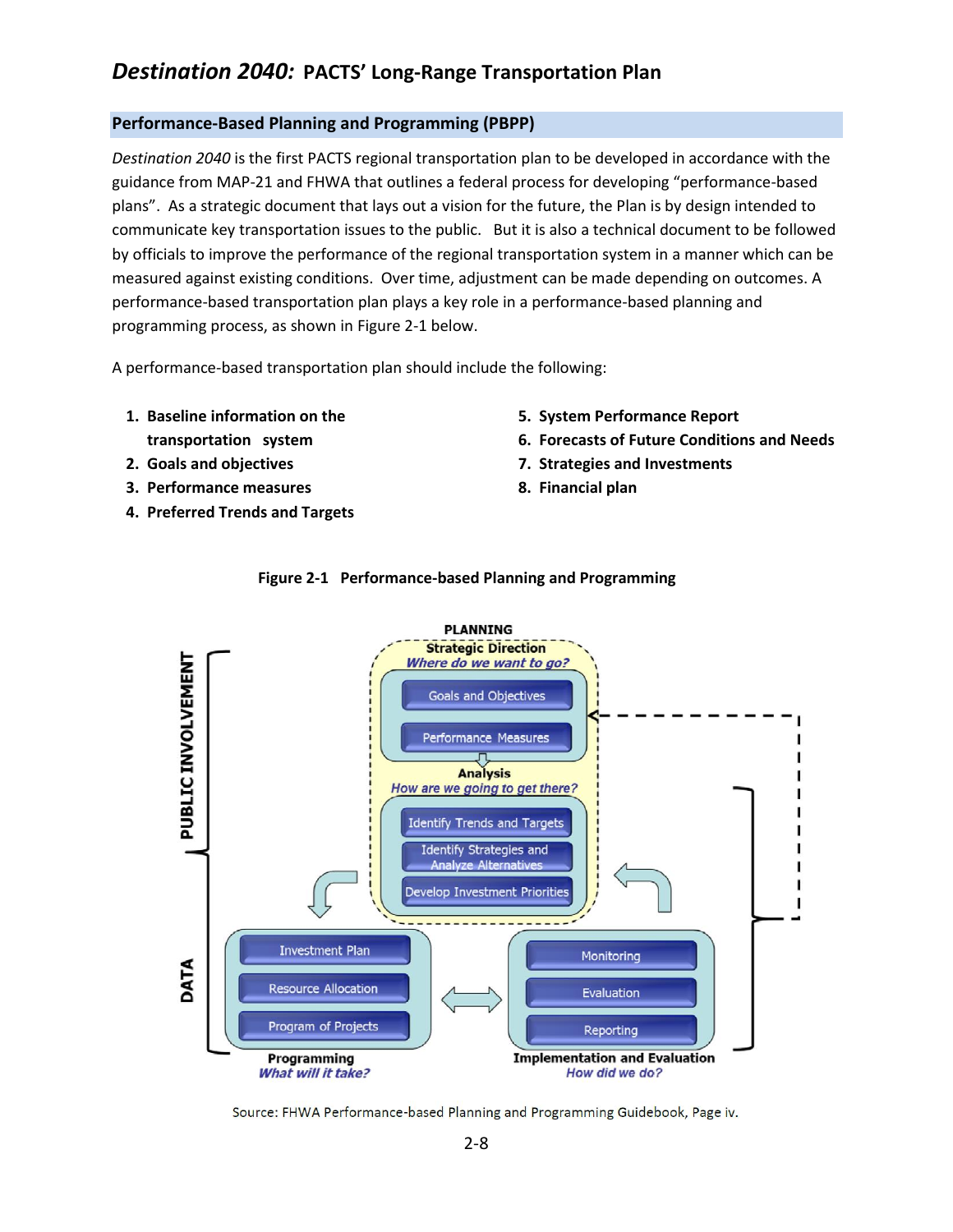## **Performance-Based Planning and Programming (PBPP)**

*Destination 2040* is the first PACTS regional transportation plan to be developed in accordance with the guidance from MAP-21 and FHWA that outlines a federal process for developing "performance-based plans". As a strategic document that lays out a vision for the future, the Plan is by design intended to communicate key transportation issues to the public. But it is also a technical document to be followed by officials to improve the performance of the regional transportation system in a manner which can be measured against existing conditions. Over time, adjustment can be made depending on outcomes. A performance-based transportation plan plays a key role in a performance-based planning and programming process, as shown in Figure 2-1 below.

A performance-based transportation plan should include the following:

- **1. Baseline information on the transportation system**
- **2. Goals and objectives**
- **3. Performance measures**
- **4. Preferred Trends and Targets**
- **5. System Performance Report**
- **6. Forecasts of Future Conditions and Needs**
- **7. Strategies and Investments**
- **8. Financial plan**



## **Figure 2-1 Performance-based Planning and Programming**

Source: FHWA Performance-based Planning and Programming Guidebook, Page iv.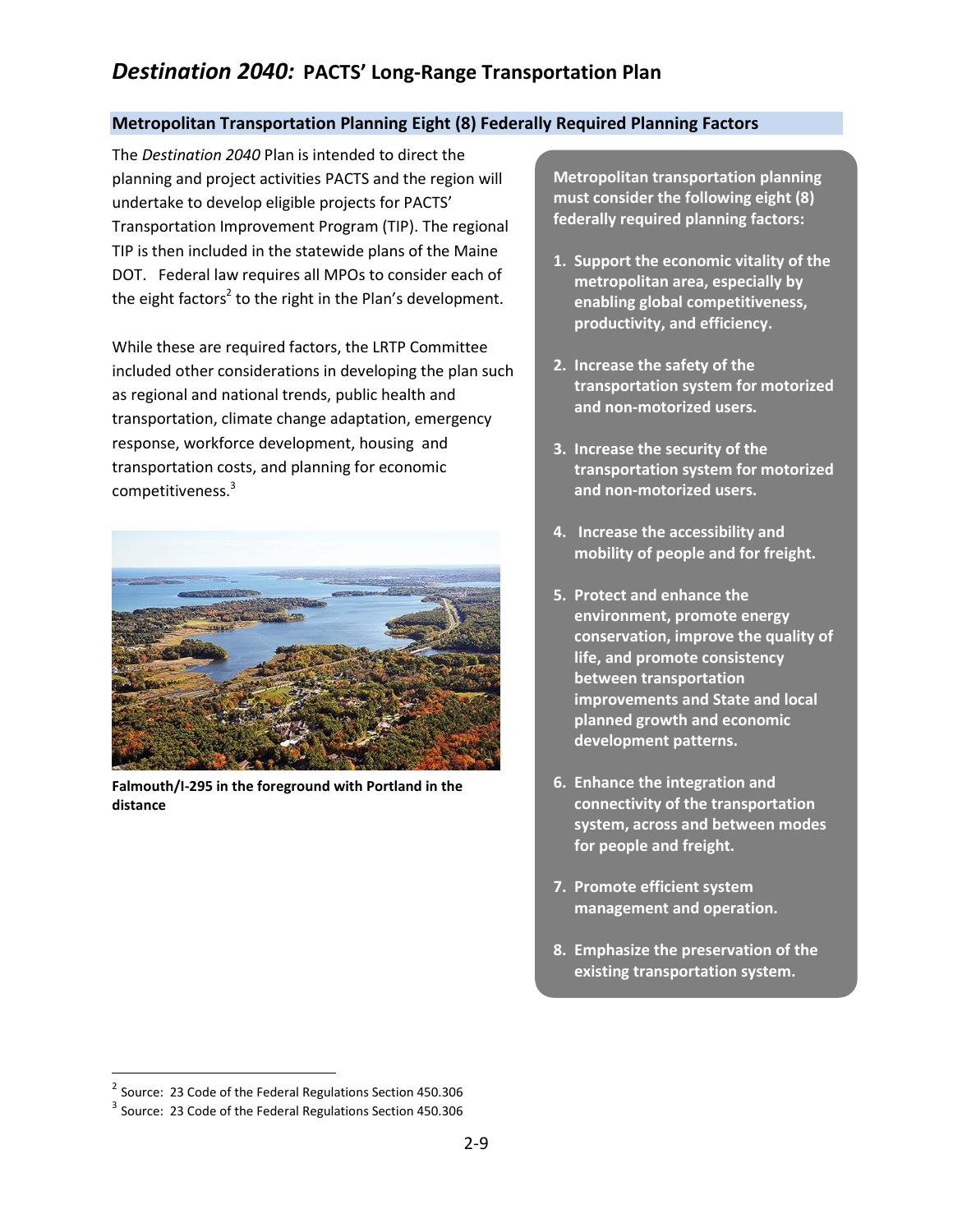## **Metropolitan Transportation Planning Eight (8) Federally Required Planning Factors**

The *Destination 2040* Plan is intended to direct the planning and project activities PACTS and the region will undertake to develop eligible projects for PACTS' Transportation Improvement Program (TIP). The regional TIP is then included in the statewide plans of the Maine DOT. Federal law requires all MPOs to consider each of the eight factors<sup>2</sup> to the right in the Plan's development.

While these are required factors, the LRTP Committee included other considerations in developing the plan such as regional and national trends, public health and transportation, climate change adaptation, emergency response, workforce development, housing and transportation costs, and planning for economic competitiveness.<sup>3</sup>



**Falmouth/I-295 in the foreground with Portland in the distance**

**Metropolitan transportation planning must consider the following eight (8) federally required planning factors:**

- **1. Support the economic vitality of the metropolitan area, especially by enabling global competitiveness, productivity, and efficiency.**
- **2. Increase the safety of the transportation system for motorized and non-motorized users.**
- **3. Increase the security of the transportation system for motorized and non-motorized users.**
- **4. Increase the accessibility and mobility of people and for freight.**
- **5. Protect and enhance the environment, promote energy conservation, improve the quality of life, and promote consistency between transportation improvements and State and local planned growth and economic development patterns.**
- **6. Enhance the integration and connectivity of the transportation system, across and between modes for people and freight.**
- **7. Promote efficient system management and operation.**
- **8. Emphasize the preservation of the existing transportation system.**

 $\overline{a}$ 

<sup>&</sup>lt;sup>2</sup> Source: 23 Code of the Federal Regulations Section 450.306

 $3$  Source: 23 Code of the Federal Regulations Section 450.306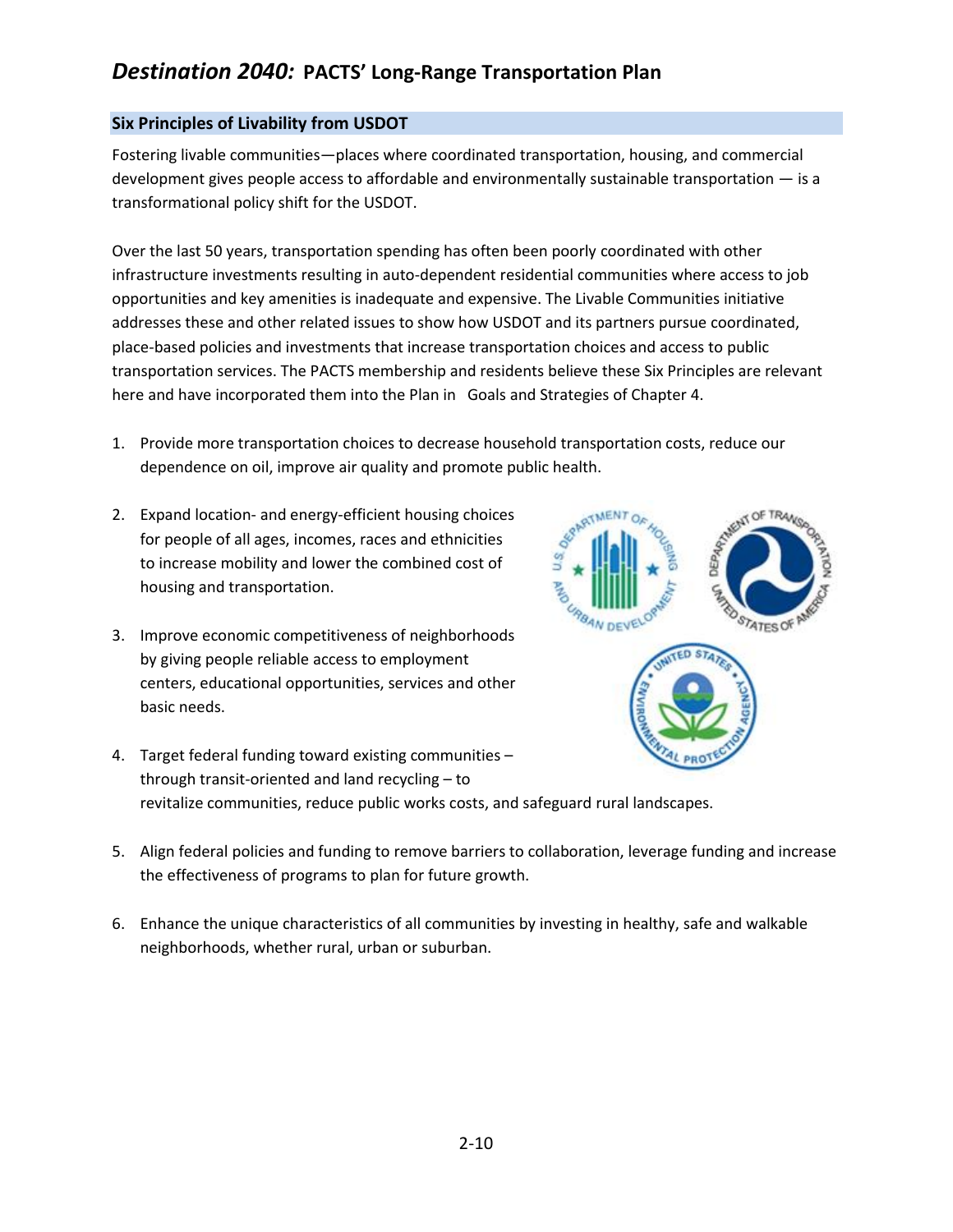## **Six Principles of Livability from USDOT**

Fostering livable communities—places where coordinated transportation, housing, and commercial development gives people access to affordable and environmentally sustainable transportation — is a transformational policy shift for the USDOT.

Over the last 50 years, transportation spending has often been poorly coordinated with other infrastructure investments resulting in auto-dependent residential communities where access to job opportunities and key amenities is inadequate and expensive. The Livable Communities initiative addresses these and other related issues to show how USDOT and its partners pursue coordinated, place-based policies and investments that increase transportation choices and access to public transportation services. The PACTS membership and residents believe these Six Principles are relevant here and have incorporated them into the Plan in Goals and Strategies of Chapter 4.

- 1. Provide more transportation choices to decrease household transportation costs, reduce our dependence on oil, improve air quality and promote public health.
- 2. Expand location- and energy-efficient housing choices for people of all ages, incomes, races and ethnicities to increase mobility and lower the combined cost of housing and transportation.
- 3. Improve economic competitiveness of neighborhoods by giving people reliable access to employment centers, educational opportunities, services and other basic needs.



- 4. Target federal funding toward existing communities through transit-oriented and land recycling – to revitalize communities, reduce public works costs, and safeguard rural landscapes.
- 5. Align federal policies and funding to remove barriers to collaboration, leverage funding and increase the effectiveness of programs to plan for future growth.
- 6. Enhance the unique characteristics of all communities by investing in healthy, safe and walkable neighborhoods, whether rural, urban or suburban.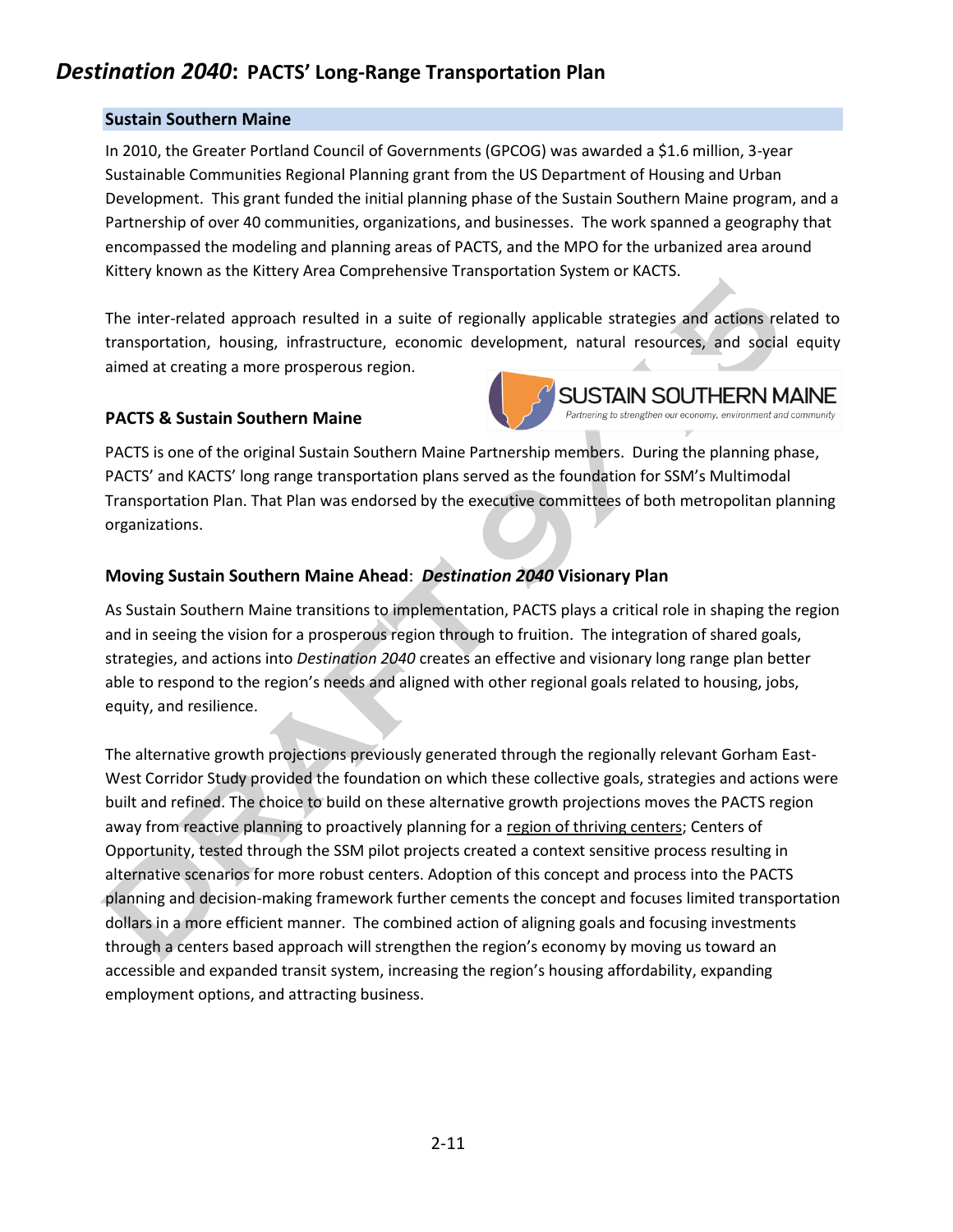## **Sustain Southern Maine**

In 2010, the Greater Portland Council of Governments (GPCOG) was awarded a \$1.6 million, 3-year Sustainable Communities Regional Planning grant from the US Department of Housing and Urban Development. This grant funded the initial planning phase of the Sustain Southern Maine program, and a Partnership of over 40 communities, organizations, and businesses. The work spanned a geography that encompassed the modeling and planning areas of PACTS, and the MPO for the urbanized area around Kittery known as the Kittery Area Comprehensive Transportation System or KACTS.

The inter-related approach resulted in a suite of regionally applicable strategies and actions related to transportation, housing, infrastructure, economic development, natural resources, and social equity aimed at creating a more prosperous region.

## **PACTS & Sustain Southern Maine**



PACTS is one of the original Sustain Southern Maine Partnership members. During the planning phase, PACTS' and KACTS' long range transportation plans served as the foundation for SSM's Multimodal Transportation Plan. That Plan was endorsed by the executive committees of both metropolitan planning organizations.

# **Moving Sustain Southern Maine Ahead**: *Destination 2040* **Visionary Plan**

As Sustain Southern Maine transitions to implementation, PACTS plays a critical role in shaping the region and in seeing the vision for a prosperous region through to fruition. The integration of shared goals, strategies, and actions into *Destination 2040* creates an effective and visionary long range plan better able to respond to the region's needs and aligned with other regional goals related to housing, jobs, equity, and resilience.

The alternative growth projections previously generated through the regionally relevant Gorham East-West Corridor Study provided the foundation on which these collective goals, strategies and actions were built and refined. The choice to build on these alternative growth projections moves the PACTS region away from reactive planning to proactively planning for a region of thriving centers; Centers of Opportunity, tested through the SSM pilot projects created a context sensitive process resulting in alternative scenarios for more robust centers. Adoption of this concept and process into the PACTS planning and decision-making framework further cements the concept and focuses limited transportation dollars in a more efficient manner. The combined action of aligning goals and focusing investments through a centers based approach will strengthen the region's economy by moving us toward an accessible and expanded transit system, increasing the region's housing affordability, expanding employment options, and attracting business.